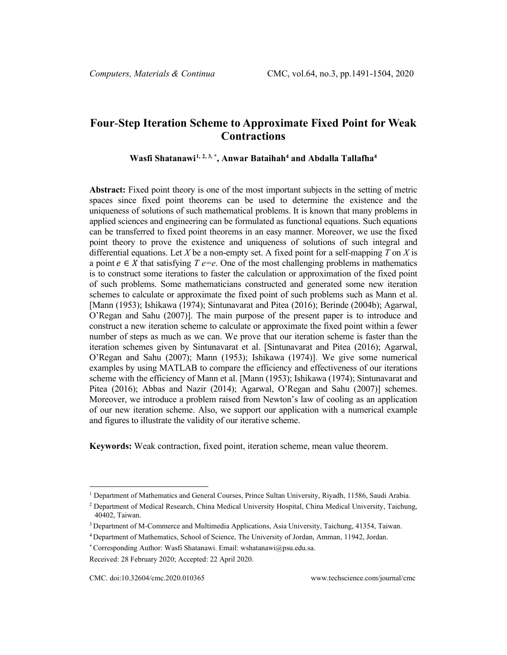# **Four**-**Step Iteration Scheme to Approximate Fixed Point for Weak Contractions**

**Wasfi Shatanawi[1](#page-0-0), [2,](#page-0-1) 3, \* , Anwar Bataihah4 and Abdalla Tallafha4**

**Abstract:** Fixed point theory is one of the most important subjects in the setting of metric spaces since fixed point theorems can be used to determine the existence and the uniqueness of solutions of such mathematical problems. It is known that many problems in applied sciences and engineering can be formulated as functional equations. Such equations can be transferred to fixed point theorems in an easy manner. Moreover, we use the fixed point theory to prove the existence and uniqueness of solutions of such integral and differential equations. Let *X* be a non-empty set. A fixed point for a self-mapping *T* on *X* is a point  $e \in X$  that satisfying  $T e=e$ . One of the most challenging problems in mathematics is to construct some iterations to faster the calculation or approximation of the fixed point of such problems. Some mathematicians constructed and generated some new iteration schemes to calculate or approximate the fixed point of such problems such as Mann et al. [Mann (1953); Ishikawa (1974); Sintunavarat and Pitea (2016); Berinde (2004b); Agarwal, O'Regan and Sahu (2007)]. The main purpose of the present paper is to introduce and construct a new iteration scheme to calculate or approximate the fixed point within a fewer number of steps as much as we can. We prove that our iteration scheme is faster than the iteration schemes given by Sintunavarat et al. [Sintunavarat and Pitea (2016); Agarwal, O'Regan and Sahu (2007); Mann (1953); Ishikawa (1974)]. We give some numerical examples by using MATLAB to compare the efficiency and effectiveness of our iterations scheme with the efficiency of Mann et al. [Mann (1953); Ishikawa (1974); Sintunavarat and Pitea (2016); Abbas and Nazir (2014); Agarwal, O'Regan and Sahu (2007)] schemes. Moreover, we introduce a problem raised from Newton's law of cooling as an application of our new iteration scheme. Also, we support our application with a numerical example and figures to illustrate the validity of our iterative scheme.

**Keywords:** Weak contraction, fixed point, iteration scheme, mean value theorem.

<span id="page-0-0"></span><sup>1</sup> Department of Mathematics and General Courses, Prince Sultan University, Riyadh, 11586, Saudi Arabia.

<span id="page-0-1"></span><sup>2</sup> Department of Medical Research, China Medical University Hospital, China Medical University, Taichung, 40402, Taiwan.

<sup>3</sup> Department of M-Commerce and Multimedia Applications, Asia University, Taichung, 41354, Taiwan.

<sup>4</sup> Department of Mathematics, School of Science, The University of Jordan, Amman, 11942, Jordan.

<sup>\*</sup> Corresponding Author: Wasfi Shatanawi. Email: wshatanawi@psu.edu.sa.

Received: 28 February 2020; Accepted: 22 April 2020.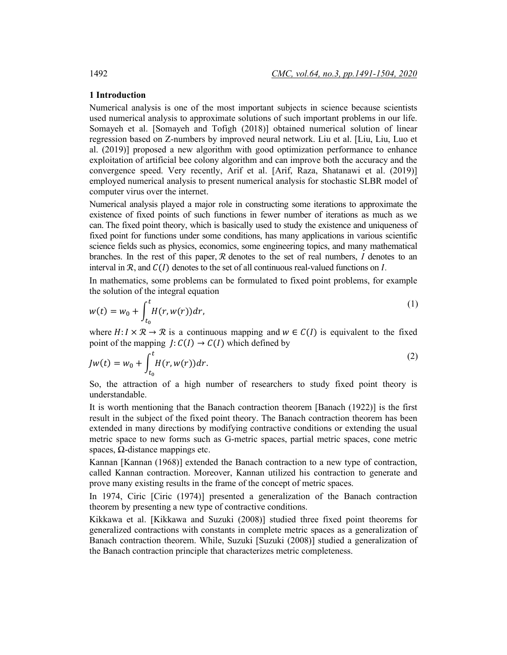# **1 Introduction**

Numerical analysis is one of the most important subjects in science because scientists used numerical analysis to approximate solutions of such important problems in our life. Somayeh et al. [Somayeh and Tofigh (2018)] obtained numerical solution of linear regression based on Z-numbers by improved neural network. Liu et al. [Liu, Liu, Luo et al. (2019)] proposed a new algorithm with good optimization performance to enhance exploitation of artificial bee colony algorithm and can improve both the accuracy and the convergence speed. Very recently, Arif et al. [Arif, Raza, Shatanawi et al. (2019)] employed numerical analysis to present numerical analysis for stochastic SLBR model of computer virus over the internet.

Numerical analysis played a major role in constructing some iterations to approximate the existence of fixed points of such functions in fewer number of iterations as much as we can. The fixed point theory, which is basically used to study the existence and uniqueness of fixed point for functions under some conditions, has many applications in various scientific science fields such as physics, economics, some engineering topics, and many mathematical branches. In the rest of this paper, ℛ denotes to the set of real numbers, *I* denotes to an interval in  $\mathcal{R}$ , and  $\mathcal{C}(I)$  denotes to the set of all continuous real-valued functions on *I*.

In mathematics, some problems can be formulated to fixed point problems, for example the solution of the integral equation

$$
w(t) = w_0 + \int_{t_0}^t H(r, w(r)) dr,
$$
\n(1)

where  $H: I \times \mathcal{R} \to \mathcal{R}$  is a continuous mapping and  $w \in C(I)$  is equivalent to the fixed point of the mapping  $J: C(I) \to C(I)$  which defined by

$$
Jw(t) = w_0 + \int_{t_0}^t H(r, w(r)) dr.
$$
 (2)

So, the attraction of a high number of researchers to study fixed point theory is understandable.

It is worth mentioning that the Banach contraction theorem [Banach (1922)] is the first result in the subject of the fixed point theory. The Banach contraction theorem has been extended in many directions by modifying contractive conditions or extending the usual metric space to new forms such as G-metric spaces, partial metric spaces, cone metric spaces,  $Ω$ -distance mappings etc.

Kannan [Kannan (1968)] extended the Banach contraction to a new type of contraction, called Kannan contraction. Moreover, Kannan utilized his contraction to generate and prove many existing results in the frame of the concept of metric spaces.

In 1974, Ciric [Ciric (1974)] presented a generalization of the Banach contraction theorem by presenting a new type of contractive conditions.

Kikkawa et al. [Kikkawa and Suzuki (2008)] studied three fixed point theorems for generalized contractions with constants in complete metric spaces as a generalization of Banach contraction theorem. While, Suzuki [Suzuki (2008)] studied a generalization of the Banach contraction principle that characterizes metric completeness.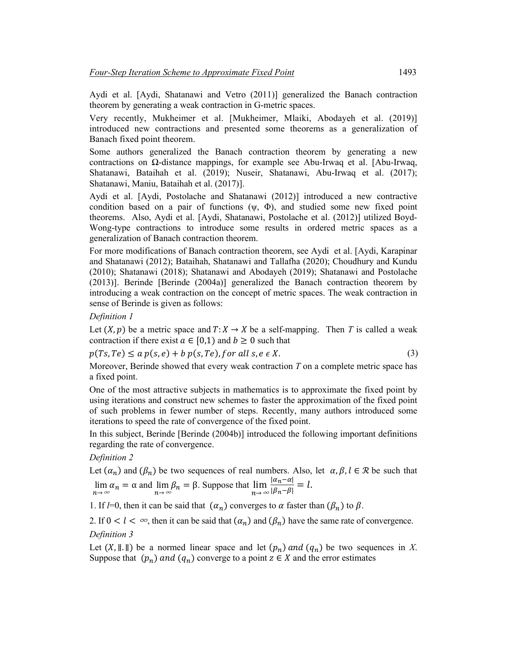Aydi et al. [Aydi, Shatanawi and Vetro (2011)] generalized the Banach contraction theorem by generating a weak contraction in G-metric spaces.

Very recently, Mukheimer et al. [Mukheimer, Mlaiki, Abodayeh et al. (2019)] introduced new contractions and presented some theorems as a generalization of Banach fixed point theorem.

Some authors generalized the Banach contraction theorem by generating a new contractions on Ω-distance mappings, for example see Abu-Irwaq et al. [Abu-Irwaq, Shatanawi, Bataihah et al. (2019); Nuseir, Shatanawi, Abu-Irwaq et al. (2017); Shatanawi, Maniu, Bataihah et al. (2017)].

Aydi et al. [Aydi, Postolache and Shatanawi (2012)] introduced a new contractive condition based on a pair of functions  $(\psi, \Phi)$ , and studied some new fixed point theorems. Also, Aydi et al. [Aydi, Shatanawi, Postolache et al. (2012)] utilized Boyd-Wong-type contractions to introduce some results in ordered metric spaces as a generalization of Banach contraction theorem.

For more modifications of Banach contraction theorem, see Aydi et al. [Aydi, Karapinar and Shatanawi (2012); Bataihah, Shatanawi and Tallafha (2020); Choudhury and Kundu (2010); Shatanawi (2018); Shatanawi and Abodayeh (2019); Shatanawi and Postolache (2013)]. Berinde [Berinde (2004a)] generalized the Banach contraction theorem by introducing a weak contraction on the concept of metric spaces. The weak contraction in sense of Berinde is given as follows:

*Definition 1*

Let  $(X, p)$  be a metric space and  $T: X \to X$  be a self-mapping. Then *T* is called a weak contraction if there exist  $a \in [0,1)$  and  $b \ge 0$  such that

$$
p(Ts, Te) \le a p(s, e) + b p(s, Te), for all s, e \in X.
$$
\n<sup>(3)</sup>

Moreover, Berinde showed that every weak contraction *T* on a complete metric space has a fixed point.

One of the most attractive subjects in mathematics is to approximate the fixed point by using iterations and construct new schemes to faster the approximation of the fixed point of such problems in fewer number of steps. Recently, many authors introduced some iterations to speed the rate of convergence of the fixed point.

In this subject, Berinde [Berinde (2004b)] introduced the following important definitions regarding the rate of convergence.

*Definition 2*

Let  $(\alpha_n)$  and  $(\beta_n)$  be two sequences of real numbers. Also, let  $\alpha, \beta, l \in \mathcal{R}$  be such that lim  $\alpha_n = \alpha$  and  $\lim_{n \to \infty} \beta_n = \beta$ . Suppose that  $\lim_{n \to \infty}$  $\frac{|\alpha_n-\alpha|}{|\beta_n-\beta|}=l.$ 

1. If *l*=0, then it can be said that  $(\alpha_n)$  converges to  $\alpha$  faster than  $(\beta_n)$  to  $\beta$ .

2. If  $0 < l < \infty$ , then it can be said that  $(\alpha_n)$  and  $(\beta_n)$  have the same rate of convergence. *Definition 3* 

Let  $(X, \|\cdot\|)$  be a normed linear space and let  $(p_n)$  and  $(q_n)$  be two sequences in *X*. Suppose that  $(p_n)$  and  $(q_n)$  converge to a point  $z \in X$  and the error estimates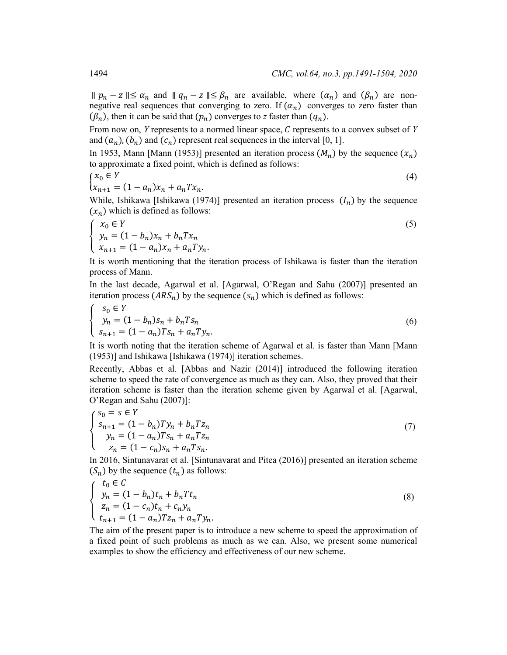$∥ p_n - z \parallel \leq \alpha_n$  and  $∥ q_n - z \parallel \leq \beta_n$  are available, where  $(\alpha_n)$  and  $(\beta_n)$  are nonnegative real sequences that converging to zero. If  $(\alpha_n)$  converges to zero faster than  $(\beta_n)$ , then it can be said that  $(p_n)$  converges to *z* faster than  $(q_n)$ .

From now on, *Y* represents to a normed linear space, *C* represents to a convex subset of *Y* and  $(a_n)$ ,  $(b_n)$  and  $(c_n)$  represent real sequences in the interval [0, 1].

In 1953, Mann [Mann (1953)] presented an iteration process  $(M_n)$  by the sequence  $(x_n)$ to approximate a fixed point, which is defined as follows:

$$
\begin{cases} x_0 \in Y \\ x_{n+1} = (1 - a_n)x_n + a_n T x_n. \end{cases} \tag{4}
$$

While, Ishikawa [Ishikawa (1974)] presented an iteration process  $(I_n)$  by the sequence  $(x_n)$  which is defined as follows:

$$
\begin{cases}\n x_0 \in Y \\
 y_n = (1 - b_n)x_n + b_n T x_n \\
 x_{n+1} = (1 - a_n)x_n + a_n T y_n.\n\end{cases}
$$
\n(5)

It is worth mentioning that the iteration process of Ishikawa is faster than the iteration process of Mann.

In the last decade, Agarwal et al. [Agarwal, O'Regan and Sahu (2007)] presented an iteration process  $(ARS_n)$  by the sequence  $(s_n)$  which is defined as follows:

$$
\begin{cases}\n s_0 \in Y \\
 y_n = (1 - b_n)s_n + b_n Ts_n \\
 s_{n+1} = (1 - a_n)Ts_n + a_n Ty_n.\n\end{cases}
$$
\n(6)

It is worth noting that the iteration scheme of Agarwal et al. is faster than Mann [Mann (1953)] and Ishikawa [Ishikawa (1974)] iteration schemes.

Recently, Abbas et al. [Abbas and Nazir (2014)] introduced the following iteration scheme to speed the rate of convergence as much as they can. Also, they proved that their iteration scheme is faster than the iteration scheme given by Agarwal et al. [Agarwal, O'Regan and Sahu (2007)]:

$$
\begin{cases}\ns_0 = s \in Y \\
s_{n+1} = (1 - b_n)Ty_n + b_n T z_n \\
y_n = (1 - a_n)Ts_n + a_n T z_n \\
z_n = (1 - c_n)s_n + a_n Ts_n.\n\end{cases} (7)
$$

In 2016, Sintunavarat et al. [Sintunavarat and Pitea (2016)] presented an iteration scheme  $(S_n)$  by the sequence  $(t_n)$  as follows:

$$
\begin{cases}\n t_0 \in C \\
 y_n = (1 - b_n)t_n + b_n T t_n \\
 z_n = (1 - c_n)t_n + c_n y_n \\
 t_{n+1} = (1 - a_n)T z_n + a_n T y_n.\n\end{cases}
$$
\n(8)

The aim of the present paper is to introduce a new scheme to speed the approximation of a fixed point of such problems as much as we can. Also, we present some numerical examples to show the efficiency and effectiveness of our new scheme.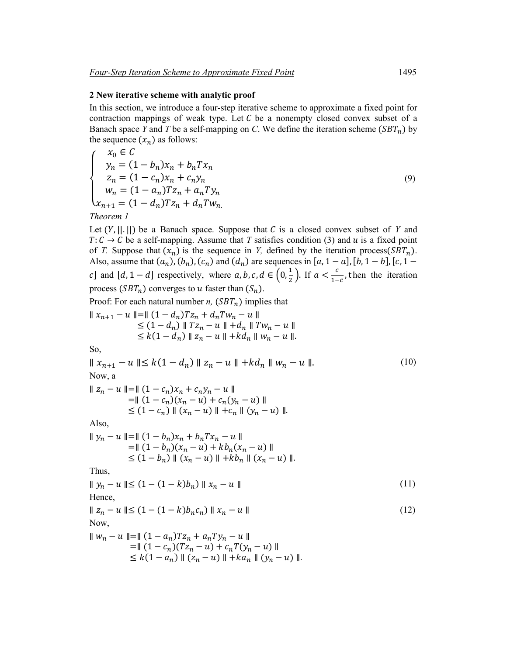#### **2 New iterative scheme with analytic proof**

In this section, we introduce a four-step iterative scheme to approximate a fixed point for contraction mappings of weak type. Let  $C$  be a nonempty closed convex subset of a Banach space *Y* and *T* be a self-mapping on *C*. We define the iteration scheme ( $SBT_n$ ) by the sequence  $(x_n)$  as follows:

$$
\begin{cases}\n x_0 \in C \\
 y_n = (1 - b_n)x_n + b_n T x_n \\
 z_n = (1 - c_n)x_n + c_n y_n \\
 w_n = (1 - a_n)T z_n + a_n T y_n \\
 x_{n+1} = (1 - d_n)T z_n + d_n T w_n\n\end{cases}
$$
\n(9)

Let  $(Y, ||.||)$  be a Banach space. Suppose that C is a closed convex subset of Y and  $T: C \to C$  be a self-mapping. Assume that *T* satisfies condition (3) and *u* is a fixed point of *T*. Suppose that  $(x_n)$  is the sequence in *Y*, defined by the iteration process( $SBT_n$ ). Also, assume that  $(a_n)$ ,  $(b_n)$ ,  $(c_n)$  and  $(d_n)$  are sequences in [a, 1 – a], [b, 1 – b], [c, 1 – c] and  $[d, 1-d]$  respectively, where  $a, b, c, d \in \left(0, \frac{1}{2}\right)$ . If  $a < \frac{c}{1-c}$ , then the iteration process  $(SBT_n)$  converges to u faster than  $(S_n)$ .

Proof: For each natural number *n*,  $(SBT_n)$  implies that

$$
\|x_{n+1} - u\| = \|(1 - d_n)Tz_n + d_nTw_n - u\|
$$
  
\n
$$
\leq (1 - d_n) \|Tz_n - u\| + d_n \|Tw_n - u\|
$$
  
\n
$$
\leq k(1 - d_n) \|z_n - u\| + kd_n \|w_n - u\|.
$$

So,

 $|| x_{n+1} - u || \le k(1 - d_n) || z_n - u || + k d_n || w_n - u ||.$  (10) Now, a  $|| z_n - u || = || (1 - c_n) x_n + c_n y_n - u ||$  $=$ ∥  $(1 - c_n)(x_n - u) + c_n(y_n - u)$  ∥  $\leq (1 - c_n) || (x_n - u) || + c_n || (y_n - u) ||.$ Also,  $|| y_n - u || = || (1 - b_n) x_n + b_n T x_n - u ||$  $=$ ∥  $(1 - b_n)(x_n - u) + kb_n(x_n - u)$  ∥  $\leq (1 - b_n) || (x_n - u) || + k b_n || (x_n - u) ||.$ Thus,  $||y_n - u|| \le (1 - (1 - k)b_n) ||x_n - u||$  (11) Hence,  $||z_n - u|| \le (1 - (1 - k)b_n c_n) ||x_n - u||$  (12) Now,  $|| w_n - u || = || (1 - a_n) T z_n + a_n T y_n - u ||$  $=$ ||  $(1 - c_n)(Tz_n - u) + c_nT(y_n - u)$  ||  $\leq k(1 - a_n) || (z_n - u) || + k a_n || (y_n - u) ||.$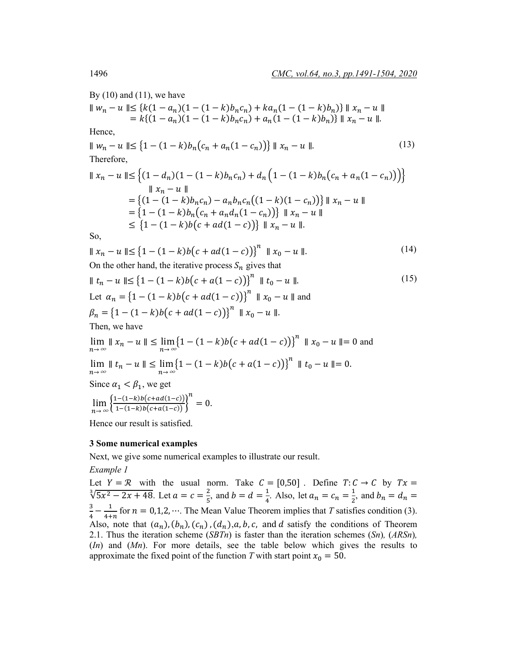By  $(10)$  and  $(11)$ , we have

$$
|| w_n - u || \leq {k(1 - a_n)(1 - (1 - k)b_n c_n)} + ka_n(1 - (1 - k)b_n}) || x_n - u ||
$$
  
\n= k{ (1 - a\_n)(1 - (1 - k)b\_n c\_n) + a\_n(1 - (1 - k)b\_n}) || x\_n - u ||.  
\nHence,  
\n
$$
|| w_n - u || \leq {1 - (1 - k)b_n (c_n + a_n (1 - c_n))} || x_n - u ||.
$$
\n(13)  
\nTherefore,  
\n
$$
|| x_n - u || \leq {(1 - d_n)(1 - (1 - k)b_n c_n) + d_n (1 - (1 - k)b_n (c_n + a_n (1 - c_n)))}
$$
  
\n
$$
|| x_n - u ||
$$
  
\n= { (1 - (1 - k)b\_n c\_n) - a\_n b\_n c\_n (1 - k)(1 - c\_n))} || x\_n - u ||  
\n= { (1 - (1 - k)b\_n (c\_n + a\_n d\_n (1 - c\_n))) || x\_n - u ||  
\n= { (1 - (1 - k)b(c + ad(1 - c))) || x\_n - u ||.  
\nSo,  
\n
$$
|| x_n - u || \leq {1 - (1 - k)b(c + ad(1 - c))}^n || x_0 - u ||.
$$
\n(14)  
\nOn the other hand, the iterative process *S\_n* gives that  
\n
$$
|| t_n - u || \leq {1 - (1 - k)b(c + a(1 - c))}^n || x_0 - u ||
$$
  
\nLet 
$$
\alpha_n = {1 - (1 - k)b(c + ad(1 - c))}^n || x_0 - u ||
$$
and  
\n
$$
\beta_n = {1 - (1 - k)b(c + ad(1 - c))}^n || x_0 - u ||
$$
  
\nThen, we have  
\n
$$
\lim_{n \to \infty} || x_n - u || \leq \lim_{n \to \infty} {1 - (1 - k)b(c + ad(1 - c))}^n || x_0 - u || = 0
$$
and  
\n
$$
\lim_{n \to \infty} || x_n - u || \leq \lim_{n \to \infty} {1 - (1 - k)b(c + a(1 - c))}^n || t_0 - u || = 0.
$$
  
\nSince 
$$
\alpha_1 < \beta_1
$$
, we get  
\n
$$
\lim_{n \to \infty} {1 - (1 + k)b(c + a(1 - c))}^n =
$$

Hence our result is satisfied.

### **3 Some numerical examples**

Next, we give some numerical examples to illustrate our result.

*Example 1*

Let  $Y = \mathcal{R}$  with the usual norm. Take  $C = [0,50]$ . Define  $T: C \to C$  by  $Tx =$  $\sqrt[3]{5x^2 - 2x + 48}$ . Let  $a = c = \frac{2}{5}$ , and  $b = d = \frac{1}{4}$ . Also, let  $a_n = c_n = \frac{1}{2}$ , and  $b_n = d_n =$  $\frac{3}{4} - \frac{1}{4+n}$  for  $n = 0,1,2,...$  The Mean Value Theorem implies that *T* satisfies condition (3). Also, note that  $(a_n)$ ,  $(b_n)$ ,  $(c_n)$ ,  $(d_n)$ ,  $a, b, c$ , and  $d$  satisfy the conditions of Theorem 2.1. Thus the iteration scheme (*SBTn*) is faster than the iteration schemes (*Sn*)*,* (*ARSn*)*,*  (*In*) and (*Mn*). For more details, see the table below which gives the results to approximate the fixed point of the function *T* with start point  $x_0 = 50$ .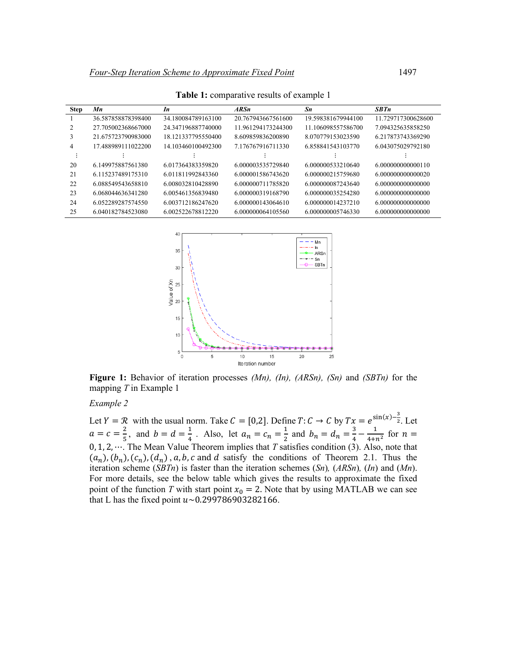| <b>Step</b> | Mn                 | In                 | ARSn               | Sn                 | <b>SBTn</b>        |
|-------------|--------------------|--------------------|--------------------|--------------------|--------------------|
|             | 36.587858878398400 | 34.180084789163100 | 20.767943667561600 | 19.598381679944100 | 11 729717300628600 |
|             | 27.705002368667000 | 24.347196887740000 | 11.961294173244300 | 11.106098557586700 | 7.094325635858250  |
| 3           | 21.675723790983000 | 18 121337795550400 | 8.609859836200890  | 8 070779153023590  | 6.217873743369290  |
| 4           | 17.488989111022200 | 14.103460100492300 | 7.176767916711330  | 6.858841543103770  | 6.043075029792180  |
|             |                    |                    |                    |                    |                    |
| 20          | 6.149975887561380  | 6.017364383359820  | 6.000003535729840  | 6.000000533210640  | 6.000000000000110  |
| 21          | 6.115237489175310  | 6 011811992843360  | 6.000001586743620  | 6.000000215759680  | 6.000000000000020  |
| 22          | 6.088549543658810  | 6.008032810428890  | 6.000000711785820  | 6.000000087243640  | 6.000000000000000  |
| 23          | 6.068044636341280  | 6 005461356839480  | 6.000000319168790  | 6.000000035254280  | 6.000000000000000  |
| 24          | 6.052289287574550  | 6.003712186247620  | 6.000000143064610  | 6.000000014237210  | 6.000000000000000  |
| 25          | 6.040182784523080  | 6.002522678812220  | 6.000000064105560  | 6.000000005746330  | 6.000000000000000  |

**Table 1:** comparative results of example 1



**Figure 1:** Behavior of iteration processes *(Mn), (In), (ARSn), (Sn)* and *(SBTn)* for the mapping *T* in Example 1

#### *Example 2*

Let  $Y = \mathcal{R}$  with the usual norm. Take  $C = [0,2]$ . Define  $T: C \to C$  by  $Tx = e^{\sin(x) - \frac{3}{2}}$ . Let  $a = c = \frac{2}{5}$ , and  $b = d = \frac{1}{4}$ . Also, let  $a_n = c_n = \frac{1}{2}$  and  $b_n = d_n = \frac{3}{4} - \frac{1}{4 + n^2}$  for  $n =$ 0, 1, 2, ⋯. The Mean Value Theorem implies that *T* satisfies condition (3). Also, note that  $(a_n)$ ,  $(b_n)$ ,  $(c_n)$ ,  $(d_n)$ ,  $a, b, c$  and  $d$  satisfy the conditions of Theorem 2.1. Thus the iteration scheme (*SBTn*) is faster than the iteration schemes (*Sn*)*,* (*ARSn*)*,* (*In*) and (*Mn*). For more details, see the below table which gives the results to approximate the fixed point of the function *T* with start point  $x_0 = 2$ . Note that by using MATLAB we can see that L has the fixed point  $u \sim 0.299786903282166$ .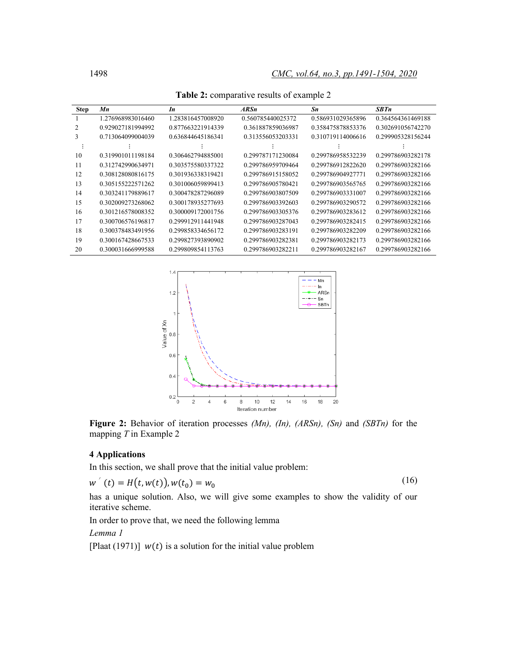| <b>Step</b> | Mn                | In                | ARSn              | Sn                | <b>SBTn</b>       |
|-------------|-------------------|-------------------|-------------------|-------------------|-------------------|
|             | 1.276968983016460 | 1.283816457008920 | 0.560785440025372 | 0.586931029365896 | 0.364564361469188 |
| 2           | 0.929027181994992 | 0.877663221914339 | 0.361887859036987 | 0.358475878853376 | 0.302691056742270 |
| 3           | 0.713064099004039 | 0.636844645186341 | 0.313556053203331 | 0.310719114006616 | 0.299905328156244 |
|             |                   |                   |                   |                   |                   |
| 10          | 0.319901011198184 | 0.306462794885001 | 0.299787171230084 | 0.299786958532239 | 0.299786903282178 |
| 11          | 0.312742990634971 | 0.303575580337322 | 0.299786959709464 | 0.299786912822620 | 0.299786903282166 |
| 12          | 0.308128080816175 | 0.301936338319421 | 0.299786915158052 | 0.299786904927771 | 0.299786903282166 |
| 13          | 0.305155222571262 | 0.301006059899413 | 0.299786905780421 | 0.299786903565765 | 0.299786903282166 |
| 14          | 0.303241179889617 | 0.300478287296089 | 0.299786903807509 | 0.299786903331007 | 0.299786903282166 |
| 15          | 0.302009273268062 | 0.300178935277693 | 0.299786903392603 | 0.299786903290572 | 0.299786903282166 |
| 16          | 0.301216578008352 | 0.300009172001756 | 0.299786903305376 | 0.299786903283612 | 0.299786903282166 |
| 17          | 0.300706576196817 | 0.299912911441948 | 0.299786903287043 | 0.299786903282415 | 0.299786903282166 |
| 18          | 0.300378483491956 | 0.299858334656172 | 0.299786903283191 | 0.299786903282209 | 0.299786903282166 |
| 19          | 0.300167428667533 | 0.299827393890902 | 0.299786903282381 | 0.299786903282173 | 0.299786903282166 |
| 20          | 0.300031666999588 | 0.299809854113763 | 0.299786903282211 | 0.299786903282167 | 0.299786903282166 |

**Table 2:** comparative results of example 2



**Figure 2:** Behavior of iteration processes *(Mn), (In), (ARSn), (Sn)* and *(SBTn)* for the mapping *T* in Example 2

### **4 Applications**

In this section, we shall prove that the initial value problem:

$$
w'(t) = H(t, w(t)), w(t_0) = w_0
$$
\n(16)

has a unique solution. Also, we will give some examples to show the validity of our iterative scheme.

In order to prove that, we need the following lemma

*Lemma 1*

[Plaat (1971)]  $w(t)$  is a solution for the initial value problem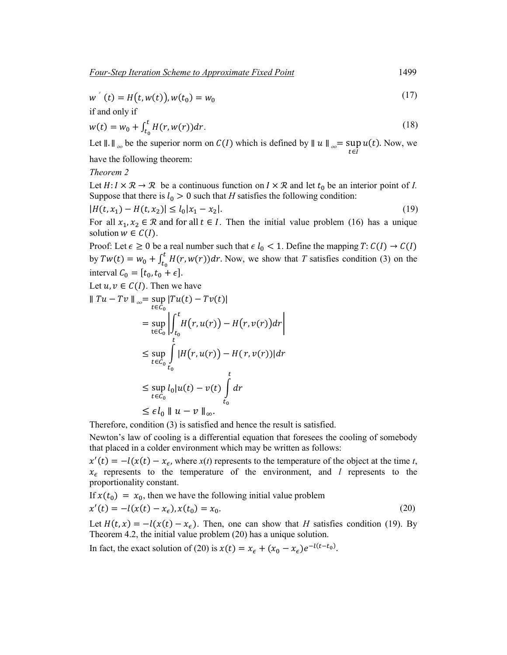$$
w'(t) = H(t, w(t)), w(t_0) = w_0
$$
\n(17)

if and only if

$$
w(t) = w_0 + \int_{t_0}^t H(r, w(r)) dr.
$$
 (18)

Let  $||. ||_{\infty}$  be the superior norm on  $C(I)$  which is defined by  $|| u ||_{\infty} = \sup_{t \in I} u(t)$ . Now, we have the following theorem:

*Theorem 2*

Let  $H: I \times \mathbb{R} \to \mathbb{R}$  be a continuous function on  $I \times \mathbb{R}$  and let  $t_0$  be an interior point of *I*. Suppose that there is  $l_0 > 0$  such that *H* satisfies the following condition:

$$
|H(t, x_1) - H(t, x_2)| \le l_0 |x_1 - x_2|.
$$
\n(19)

For all  $x_1, x_2 \in \mathbb{R}$  and for all  $t \in I$ . Then the initial value problem (16) has a unique solution  $w \in C(I)$ .

Proof: Let  $\epsilon \ge 0$  be a real number such that  $\epsilon l_0 < 1$ . Define the mapping  $T: C(I) \to C(I)$ by  $Tw(t) = w_0 + \int_{t_0}^t H(r, w(r)) dr$ . Now, we show that *T* satisfies condition (3) on the interval  $C_0 = [t_0, t_0 + \epsilon]$ .

Let  $u, v \in C(I)$ . Then we have

$$
\|Tu - Tv\|_{\infty} = \sup_{t \in C_0} |Tu(t) - Tv(t)|
$$
  
\n
$$
= \sup_{t \in C_0} \left| \int_{t_0}^t H(r, u(r)) - H(r, v(r)) dr \right|
$$
  
\n
$$
\leq \sup_{t \in C_0} \int_{t_0}^t |H(r, u(r)) - H(r, v(r))| dr
$$
  
\n
$$
\leq \sup_{t \in C_0} l_0 |u(t) - v(t)| \int_{t_0}^t dr
$$
  
\n
$$
\leq \epsilon l_0 \|u - v\|_{\infty}.
$$

Therefore, condition (3) is satisfied and hence the result is satisfied.

Newton's law of cooling is a differential equation that foresees the cooling of somebody that placed in a colder environment which may be written as follows:

 $x'(t) = -l(x(t) - x_{\epsilon}$ , where  $x(t)$  represents to the temperature of the object at the time *t*,  $x_{\epsilon}$  represents to the temperature of the environment, and *l* represents to the proportionality constant.

If  $x(t_0) = x_0$ , then we have the following initial value problem

$$
x'(t) = -l(x(t) - x_{\epsilon}), x(t_0) = x_0.
$$
\n(20)

Let  $H(t, x) = -l(x(t) - x_{\epsilon})$ . Then, one can show that *H* satisfies condition (19). By Theorem 4.2, the initial value problem (20) has a unique solution.

In fact, the exact solution of (20) is  $x(t) = x_{\epsilon} + (x_0 - x_{\epsilon})e^{-l(t - t_0)}$ .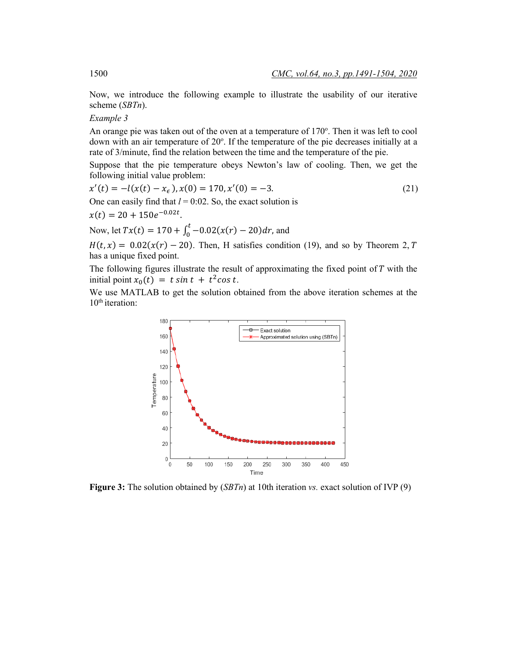Now, we introduce the following example to illustrate the usability of our iterative scheme (*SBTn*).

# *Example 3*

An orange pie was taken out of the oven at a temperature of 170°. Then it was left to cool down with an air temperature of 20°. If the temperature of the pie decreases initially at a rate of 3/minute, find the relation between the time and the temperature of the pie.

Suppose that the pie temperature obeys Newton's law of cooling. Then, we get the following initial value problem:

$$
x'(t) = -l(x(t) - x_{\epsilon}), x(0) = 170, x'(0) = -3.
$$
  
One can easily find that  $l = 0.02$ . So, the exact solution is  

$$
x(t) = 20 + 150e^{-0.02t}.
$$
 (21)

Now, let 
$$
Tx(t) = 170 + \int_0^t -0.02(x(r) - 20) dr
$$
, and

 $H(t, x) = 0.02(x(r) - 20)$ . Then, H satisfies condition (19), and so by Theorem 2, T has a unique fixed point.

The following figures illustrate the result of approximating the fixed point of  $T$  with the initial point  $x_0(t) = t \sin t + t^2 \cos t$ .

We use MATLAB to get the solution obtained from the above iteration schemes at the  $10<sup>th</sup>$  iteration:



**Figure 3:** The solution obtained by (*SBTn*) at 10th iteration *vs.* exact solution of IVP (9)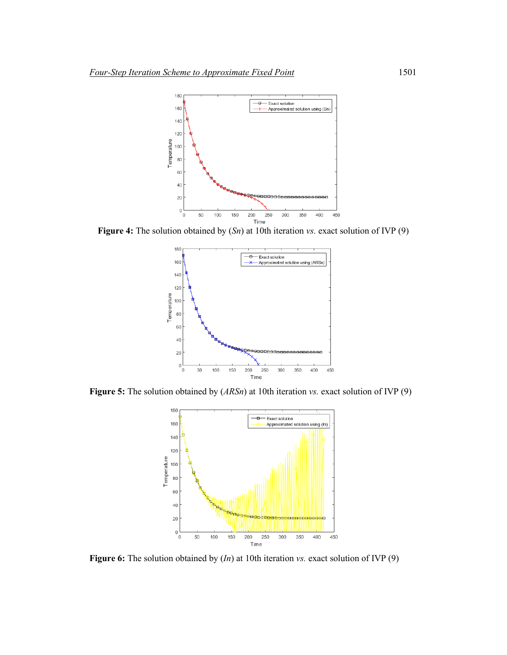

**Figure 4:** The solution obtained by (*Sn*) at 10th iteration *vs.* exact solution of IVP (9)



**Figure 5:** The solution obtained by (*ARSn*) at 10th iteration *vs.* exact solution of IVP (9)



**Figure 6:** The solution obtained by (*In*) at 10th iteration *vs.* exact solution of IVP (9)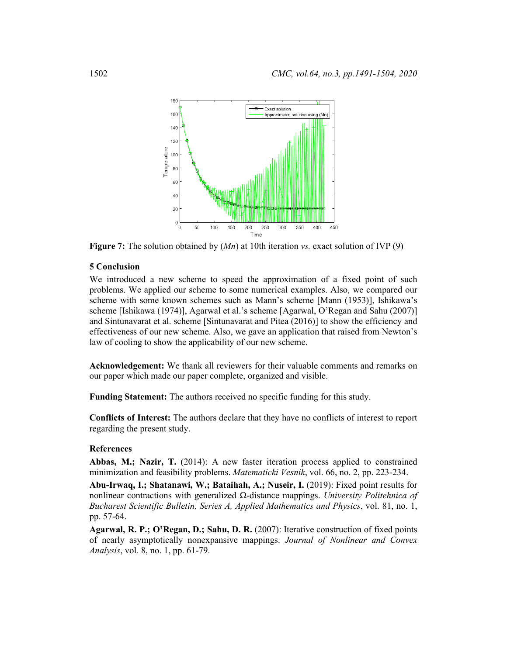

**Figure 7:** The solution obtained by (*Mn*) at 10th iteration *vs.* exact solution of IVP (9)

# **5 Conclusion**

We introduced a new scheme to speed the approximation of a fixed point of such problems. We applied our scheme to some numerical examples. Also, we compared our scheme with some known schemes such as Mann's scheme [Mann (1953)], Ishikawa's scheme [Ishikawa (1974)], Agarwal et al.'s scheme [Agarwal, O'Regan and Sahu (2007)] and Sintunavarat et al. scheme [Sintunavarat and Pitea (2016)] to show the efficiency and effectiveness of our new scheme. Also, we gave an application that raised from Newton's law of cooling to show the applicability of our new scheme.

**Acknowledgement:** We thank all reviewers for their valuable comments and remarks on our paper which made our paper complete, organized and visible.

**Funding Statement:** The authors received no specific funding for this study.

**Conflicts of Interest:** The authors declare that they have no conflicts of interest to report regarding the present study.

## **References**

**Abbas, M.; Nazir, T.** (2014): A new faster iteration process applied to constrained minimization and feasibility problems. *Matematicki Vesnik*, vol. 66, no. 2, pp. 223-234.

**Abu-Irwaq, I.; Shatanawi, W.; Bataihah, A.; Nuseir, I.** (2019): Fixed point results for nonlinear contractions with generalized Ω-distance mappings. *University Politehnica of Bucharest Scientific Bulletin, Series A, Applied Mathematics and Physics*, vol. 81, no. 1, pp. 57-64.

**Agarwal, R. P.; O'Regan, D.; Sahu, D. R.** (2007): Iterative construction of fixed points of nearly asymptotically nonexpansive mappings. *Journal of Nonlinear and Convex Analysis*, vol. 8, no. 1, pp. 61-79.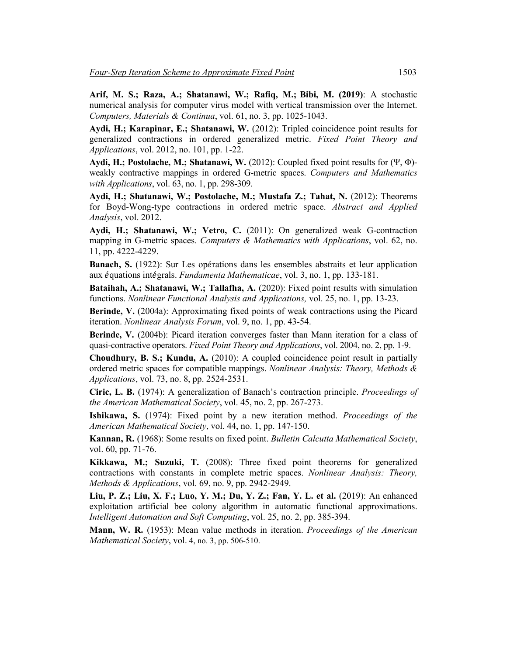**Arif, M. S.; Raza, A.; Shatanawi, W.; Rafiq, M.; Bibi, M. (2019)**: A stochastic numerical analysis for computer virus model with vertical transmission over the Internet. *Computers, Materials & Continua*, vol. 61, no. 3, pp. 1025-1043.

**Aydi, H.; Karapinar, E.; Shatanawi, W.** (2012): Tripled coincidence point results for generalized contractions in ordered generalized metric. *Fixed Point Theory and Applications*, vol. 2012, no. 101, pp. 1-22.

**Aydi, H.; Postolache, M.; Shatanawi, W.** (2012): Coupled fixed point results for (Ψ, Φ) weakly contractive mappings in ordered G-metric spaces. *Computers and Mathematics with Applications*, vol. 63, no. 1, pp. 298-309.

**Aydi, H.; Shatanawi, W.; Postolache, M.; Mustafa Z.; Tahat, N.** (2012): Theorems for Boyd-Wong-type contractions in ordered metric space. *Abstract and Applied Analysis*, vol. 2012.

**Aydi, H.; Shatanawi, W.; Vetro, C.** (2011): On generalized weak G-contraction mapping in G-metric spaces. *Computers & Mathematics with Applications*, vol. 62, no. 11, pp. 4222-4229.

**Banach, S.** (1922): Sur Les oṕrations dans les ensembles abstraits et leur application aux ́quations int́grals. *Fundamenta Mathematicae*, vol. 3, no. 1, pp. 133-181.

**Bataihah, A.; Shatanawi, W.; Tallafha, A.** (2020): Fixed point results with simulation functions. *Nonlinear Functional Analysis and Applications,* vol. 25, no. 1, pp. 13-23.

**Berinde, V.** (2004a): Approximating fixed points of weak contractions using the Picard iteration. *Nonlinear Analysis Forum*, vol. 9, no. 1, pp. 43-54.

**Berinde, V.** (2004b): Picard iteration converges faster than Mann iteration for a class of quasi-contractive operators. *Fixed Point Theory and Applications*, vol. 2004, no. 2, pp. 1-9.

**Choudhury, B. S.; Kundu, A.** (2010): A coupled coincidence point result in partially ordered metric spaces for compatible mappings. *Nonlinear Analysis: Theory, Methods & Applications*, vol. 73, no. 8, pp. 2524-2531.

**Ciric, L. B.** (1974): A generalization of Banach's contraction principle. *Proceedings of the American Mathematical Society*, vol. 45, no. 2, pp. 267-273.

**Ishikawa, S.** (1974): Fixed point by a new iteration method. *Proceedings of the American Mathematical Society*, vol. 44, no. 1, pp. 147-150.

**Kannan, R.** (1968): Some results on fixed point. *Bulletin Calcutta Mathematical Society*, vol. 60, pp. 71-76.

**Kikkawa, M.; Suzuki, T.** (2008): Three fixed point theorems for generalized contractions with constants in complete metric spaces. *Nonlinear Analysis: Theory, Methods & Applications*, vol. 69, no. 9, pp. 2942-2949.

**Liu, P. Z.; Liu, X. F.; Luo, Y. M.; Du, Y. Z.; Fan, Y. L. et al.** (2019): An enhanced exploitation artificial bee colony algorithm in automatic functional approximations. *Intelligent Automation and Soft Computing*, vol. 25, no. 2, pp. 385-394.

**Mann, W. R.** (1953): Mean value methods in iteration. *Proceedings of the American Mathematical Society*, vol. 4, no. 3, pp. 506-510.